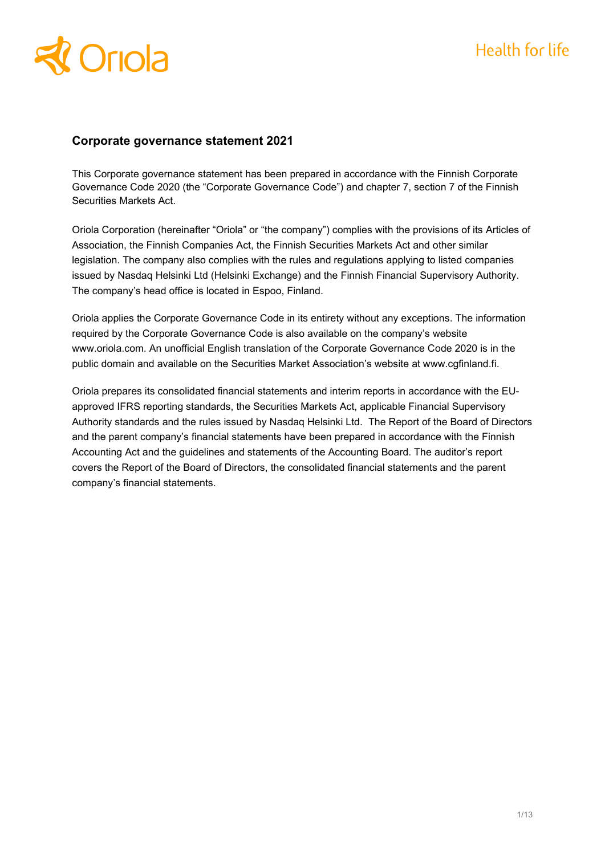# **Oriola**

#### **Corporate governance statement 2021**

This Corporate governance statement has been prepared in accordance with the Finnish Corporate Governance Code 2020 (the "Corporate Governance Code") and chapter 7, section 7 of the Finnish Securities Markets Act.

Oriola Corporation (hereinafter "Oriola" or "the company") complies with the provisions of its Articles of Association, the Finnish Companies Act, the Finnish Securities Markets Act and other similar legislation. The company also complies with the rules and regulations applying to listed companies issued by Nasdaq Helsinki Ltd (Helsinki Exchange) and the Finnish Financial Supervisory Authority. The company's head office is located in Espoo, Finland.

Oriola applies the Corporate Governance Code in its entirety without any exceptions. The information required by the Corporate Governance Code is also available on the company's website www.oriola.com. An unofficial English translation of the Corporate Governance Code 2020 is in the public domain and available on the Securities Market Association's website at www.cgfinland.fi.

Oriola prepares its consolidated financial statements and interim reports in accordance with the EUapproved IFRS reporting standards, the Securities Markets Act, applicable Financial Supervisory Authority standards and the rules issued by Nasdaq Helsinki Ltd. The Report of the Board of Directors and the parent company's financial statements have been prepared in accordance with the Finnish Accounting Act and the guidelines and statements of the Accounting Board. The auditor's report covers the Report of the Board of Directors, the consolidated financial statements and the parent company's financial statements.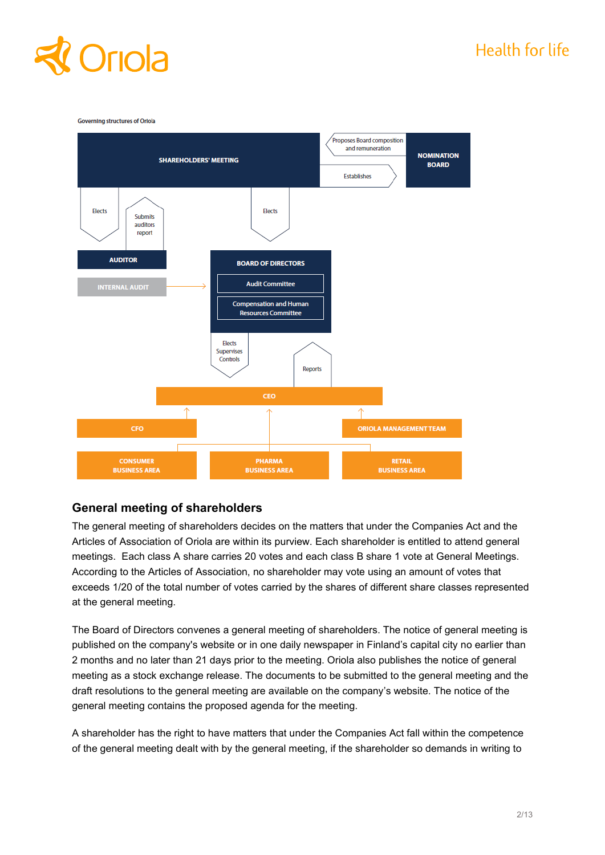

#### **Governing structures of Oriola**



### **General meeting of shareholders**

The general meeting of shareholders decides on the matters that under the Companies Act and the Articles of Association of Oriola are within its purview. Each shareholder is entitled to attend general meetings. Each class A share carries 20 votes and each class B share 1 vote at General Meetings. According to the Articles of Association, no shareholder may vote using an amount of votes that exceeds 1/20 of the total number of votes carried by the shares of different share classes represented at the general meeting.

The Board of Directors convenes a general meeting of shareholders. The notice of general meeting is published on the company's website or in one daily newspaper in Finland's capital city no earlier than 2 months and no later than 21 days prior to the meeting. Oriola also publishes the notice of general meeting as a stock exchange release. The documents to be submitted to the general meeting and the draft resolutions to the general meeting are available on the company's website. The notice of the general meeting contains the proposed agenda for the meeting.

A shareholder has the right to have matters that under the Companies Act fall within the competence of the general meeting dealt with by the general meeting, if the shareholder so demands in writing to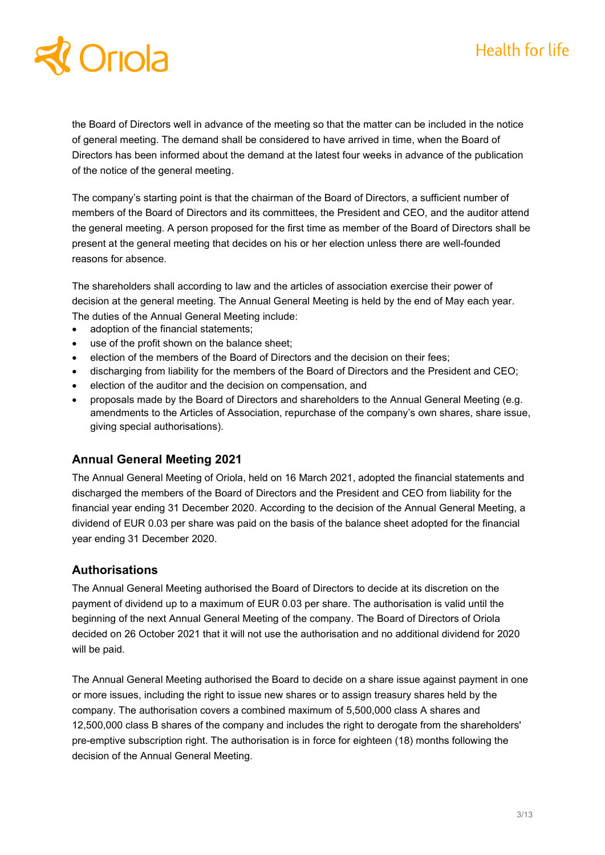# Oriola

the Board of Directors well in advance of the meeting so that the matter can be included in the notice of general meeting. The demand shall be considered to have arrived in time, when the Board of Directors has been informed about the demand at the latest four weeks in advance of the publication of the notice of the general meeting.

The company's starting point is that the chairman of the Board of Directors, a sufficient number of members of the Board of Directors and its committees, the President and CEO, and the auditor attend the general meeting. A person proposed for the first time as member of the Board of Directors shall be present at the general meeting that decides on his or her election unless there are well-founded reasons for absence.

The shareholders shall according to law and the articles of association exercise their power of decision at the general meeting. The Annual General Meeting is held by the end of May each year. The duties of the Annual General Meeting include:

- adoption of the financial statements;
- use of the profit shown on the balance sheet:
- election of the members of the Board of Directors and the decision on their fees;
- discharging from liability for the members of the Board of Directors and the President and CEO;
- election of the auditor and the decision on compensation, and
- proposals made by the Board of Directors and shareholders to the Annual General Meeting (e.g. amendments to the Articles of Association, repurchase of the company's own shares, share issue, giving special authorisations).

#### **Annual General Meeting 2021**

The Annual General Meeting of Oriola, held on 16 March 2021, adopted the financial statements and discharged the members of the Board of Directors and the President and CEO from liability for the financial year ending 31 December 2020. According to the decision of the Annual General Meeting, a dividend of EUR 0.03 per share was paid on the basis of the balance sheet adopted for the financial year ending 31 December 2020.

#### **Authorisations**

The Annual General Meeting authorised the Board of Directors to decide at its discretion on the payment of dividend up to a maximum of EUR 0.03 per share. The authorisation is valid until the beginning of the next Annual General Meeting of the company. The Board of Directors of Oriola decided on 26 October 2021 that it will not use the authorisation and no additional dividend for 2020 will be paid.

The Annual General Meeting authorised the Board to decide on a share issue against payment in one or more issues, including the right to issue new shares or to assign treasury shares held by the company. The authorisation covers a combined maximum of 5,500,000 class A shares and 12,500,000 class B shares of the company and includes the right to derogate from the shareholders' pre-emptive subscription right. The authorisation is in force for eighteen (18) months following the decision of the Annual General Meeting.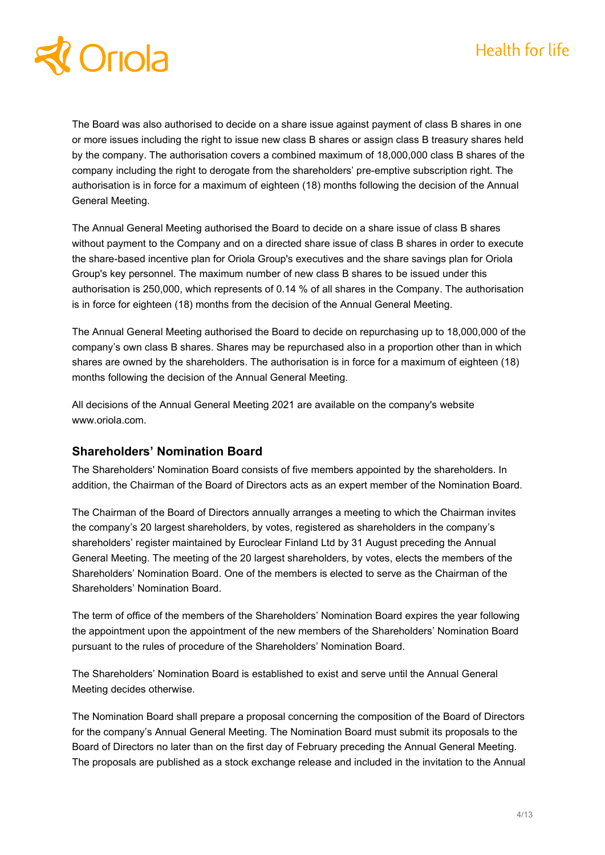# Oriola

The Board was also authorised to decide on a share issue against payment of class B shares in one or more issues including the right to issue new class B shares or assign class B treasury shares held by the company. The authorisation covers a combined maximum of 18,000,000 class B shares of the company including the right to derogate from the shareholders' pre-emptive subscription right. The authorisation is in force for a maximum of eighteen (18) months following the decision of the Annual General Meeting.

The Annual General Meeting authorised the Board to decide on a share issue of class B shares without payment to the Company and on a directed share issue of class B shares in order to execute the share-based incentive plan for Oriola Group's executives and the share savings plan for Oriola Group's key personnel. The maximum number of new class B shares to be issued under this authorisation is 250,000, which represents of 0.14 % of all shares in the Company. The authorisation is in force for eighteen (18) months from the decision of the Annual General Meeting.

The Annual General Meeting authorised the Board to decide on repurchasing up to 18,000,000 of the company's own class B shares. Shares may be repurchased also in a proportion other than in which shares are owned by the shareholders. The authorisation is in force for a maximum of eighteen (18) months following the decision of the Annual General Meeting.

All decisions of the Annual General Meeting 2021 are available on the company's website www.oriola.com.

#### **Shareholders' Nomination Board**

The Shareholders' Nomination Board consists of five members appointed by the shareholders. In addition, the Chairman of the Board of Directors acts as an expert member of the Nomination Board.

The Chairman of the Board of Directors annually arranges a meeting to which the Chairman invites the company's 20 largest shareholders, by votes, registered as shareholders in the company's shareholders' register maintained by Euroclear Finland Ltd by 31 August preceding the Annual General Meeting. The meeting of the 20 largest shareholders, by votes, elects the members of the Shareholders' Nomination Board. One of the members is elected to serve as the Chairman of the Shareholders' Nomination Board.

The term of office of the members of the Shareholders' Nomination Board expires the year following the appointment upon the appointment of the new members of the Shareholders' Nomination Board pursuant to the rules of procedure of the Shareholders' Nomination Board.

The Shareholders' Nomination Board is established to exist and serve until the Annual General Meeting decides otherwise.

The Nomination Board shall prepare a proposal concerning the composition of the Board of Directors for the company's Annual General Meeting. The Nomination Board must submit its proposals to the Board of Directors no later than on the first day of February preceding the Annual General Meeting. The proposals are published as a stock exchange release and included in the invitation to the Annual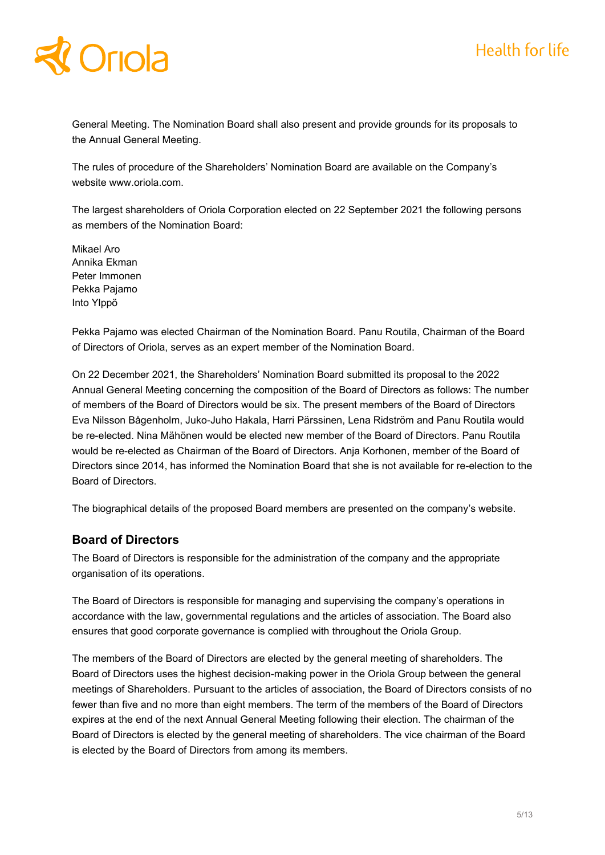### **Oriola**

General Meeting. The Nomination Board shall also present and provide grounds for its proposals to the Annual General Meeting.

The rules of procedure of the Shareholders' Nomination Board are available on the Company's website www.oriola.com.

The largest shareholders of Oriola Corporation elected on 22 September 2021 the following persons as members of the Nomination Board:

Mikael Aro Annika Ekman Peter Immonen Pekka Pajamo Into Ylppö

Pekka Pajamo was elected Chairman of the Nomination Board. Panu Routila, Chairman of the Board of Directors of Oriola, serves as an expert member of the Nomination Board.

On 22 December 2021, the Shareholders' Nomination Board submitted its proposal to the 2022 Annual General Meeting concerning the composition of the Board of Directors as follows: The number of members of the Board of Directors would be six. The present members of the Board of Directors Eva Nilsson Bågenholm, Juko-Juho Hakala, Harri Pärssinen, Lena Ridström and Panu Routila would be re-elected. Nina Mähönen would be elected new member of the Board of Directors. Panu Routila would be re-elected as Chairman of the Board of Directors. Anja Korhonen, member of the Board of Directors since 2014, has informed the Nomination Board that she is not available for re-election to the Board of Directors.

The biographical details of the proposed Board members are presented on the company's website.

#### **Board of Directors**

The Board of Directors is responsible for the administration of the company and the appropriate organisation of its operations.

The Board of Directors is responsible for managing and supervising the company's operations in accordance with the law, governmental regulations and the articles of association. The Board also ensures that good corporate governance is complied with throughout the Oriola Group.

The members of the Board of Directors are elected by the general meeting of shareholders. The Board of Directors uses the highest decision-making power in the Oriola Group between the general meetings of Shareholders. Pursuant to the articles of association, the Board of Directors consists of no fewer than five and no more than eight members. The term of the members of the Board of Directors expires at the end of the next Annual General Meeting following their election. The chairman of the Board of Directors is elected by the general meeting of shareholders. The vice chairman of the Board is elected by the Board of Directors from among its members.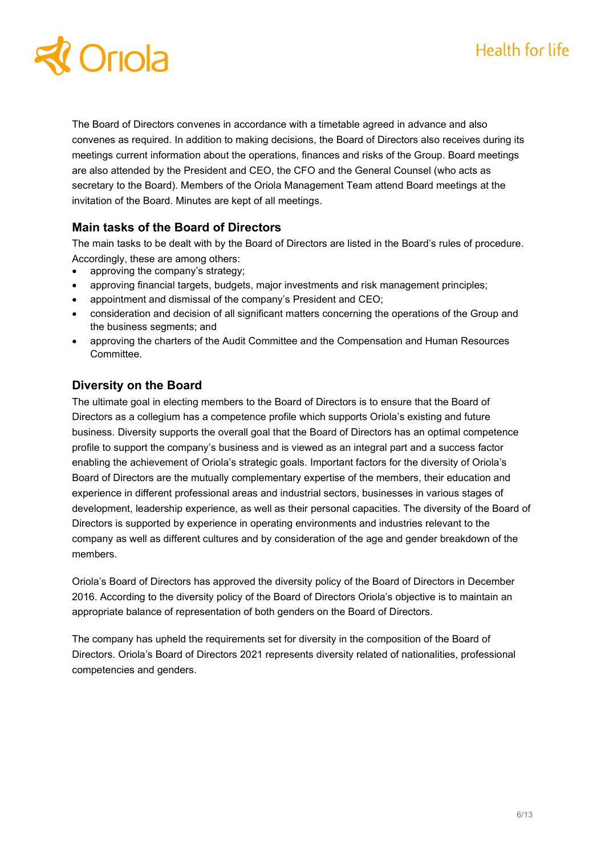

The Board of Directors convenes in accordance with a timetable agreed in advance and also convenes as required. In addition to making decisions, the Board of Directors also receives during its meetings current information about the operations, finances and risks of the Group. Board meetings are also attended by the President and CEO, the CFO and the General Counsel (who acts as secretary to the Board). Members of the Oriola Management Team attend Board meetings at the invitation of the Board. Minutes are kept of all meetings.

### **Main tasks of the Board of Directors**

The main tasks to be dealt with by the Board of Directors are listed in the Board's rules of procedure. Accordingly, these are among others:

- approving the company's strategy;
- approving financial targets, budgets, major investments and risk management principles;
- appointment and dismissal of the company's President and CEO;
- consideration and decision of all significant matters concerning the operations of the Group and the business segments; and
- approving the charters of the Audit Committee and the Compensation and Human Resources **Committee**

#### **Diversity on the Board**

The ultimate goal in electing members to the Board of Directors is to ensure that the Board of Directors as a collegium has a competence profile which supports Oriola's existing and future business. Diversity supports the overall goal that the Board of Directors has an optimal competence profile to support the company's business and is viewed as an integral part and a success factor enabling the achievement of Oriola's strategic goals. Important factors for the diversity of Oriola's Board of Directors are the mutually complementary expertise of the members, their education and experience in different professional areas and industrial sectors, businesses in various stages of development, leadership experience, as well as their personal capacities. The diversity of the Board of Directors is supported by experience in operating environments and industries relevant to the company as well as different cultures and by consideration of the age and gender breakdown of the members.

Oriola's Board of Directors has approved the diversity policy of the Board of Directors in December 2016. According to the diversity policy of the Board of Directors Oriola's objective is to maintain an appropriate balance of representation of both genders on the Board of Directors.

The company has upheld the requirements set for diversity in the composition of the Board of Directors. Oriola's Board of Directors 2021 represents diversity related of nationalities, professional competencies and genders.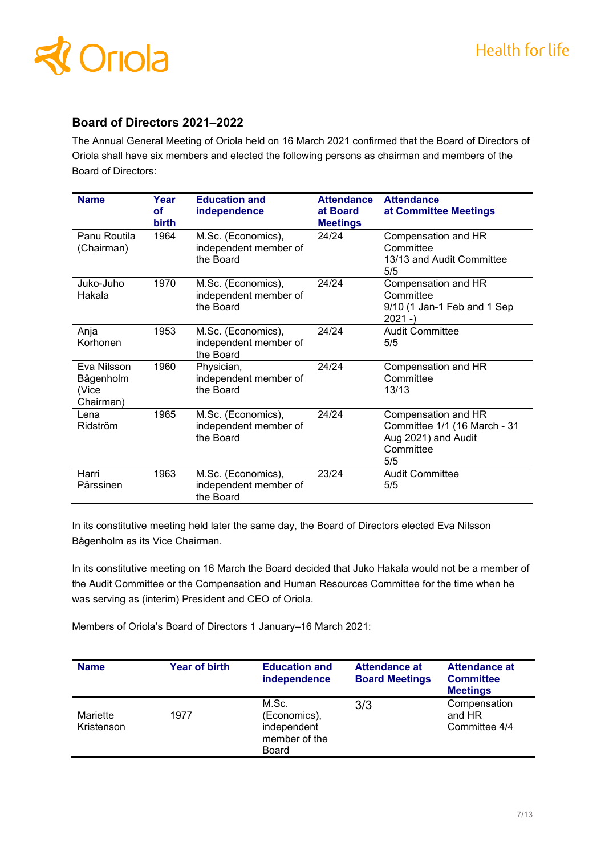

#### **Board of Directors 2021–2022**

The Annual General Meeting of Oriola held on 16 March 2021 confirmed that the Board of Directors of Oriola shall have six members and elected the following persons as chairman and members of the Board of Directors:

| <b>Name</b>                                    | Year<br><b>of</b><br>birth | <b>Education and</b><br>independence                     | <b>Attendance</b><br>at Board<br><b>Meetings</b> | <b>Attendance</b><br>at Committee Meetings                                                     |
|------------------------------------------------|----------------------------|----------------------------------------------------------|--------------------------------------------------|------------------------------------------------------------------------------------------------|
| Panu Routila<br>(Chairman)                     | 1964                       | M.Sc. (Economics),<br>independent member of<br>the Board | 24/24                                            | Compensation and HR<br>Committee<br>13/13 and Audit Committee<br>5/5                           |
| Juko-Juho<br>Hakala                            | 1970                       | M.Sc. (Economics),<br>independent member of<br>the Board | 24/24                                            | Compensation and HR<br>Committee<br>9/10 (1 Jan-1 Feb and 1 Sep<br>2021 -)                     |
| Anja<br>Korhonen                               | 1953                       | M.Sc. (Economics),<br>independent member of<br>the Board | 24/24                                            | <b>Audit Committee</b><br>5/5                                                                  |
| Eva Nilsson<br>Bågenholm<br>(Vice<br>Chairman) | 1960                       | Physician,<br>independent member of<br>the Board         | 24/24                                            | Compensation and HR<br>Committee<br>13/13                                                      |
| Lena<br>Ridström                               | 1965                       | M.Sc. (Economics),<br>independent member of<br>the Board | 24/24                                            | Compensation and HR<br>Committee 1/1 (16 March - 31<br>Aug 2021) and Audit<br>Committee<br>5/5 |
| Harri<br>Pärssinen                             | 1963                       | M.Sc. (Economics),<br>independent member of<br>the Board | 23/24                                            | <b>Audit Committee</b><br>5/5                                                                  |

In its constitutive meeting held later the same day, the Board of Directors elected Eva Nilsson Bågenholm as its Vice Chairman.

In its constitutive meeting on 16 March the Board decided that Juko Hakala would not be a member of the Audit Committee or the Compensation and Human Resources Committee for the time when he was serving as (interim) President and CEO of Oriola.

Members of Oriola's Board of Directors 1 January–16 March 2021:

| <b>Name</b>            | <b>Year of birth</b> | <b>Education and</b><br>independence                           | <b>Attendance at</b><br><b>Board Meetings</b> | <b>Attendance at</b><br><b>Committee</b><br><b>Meetings</b> |
|------------------------|----------------------|----------------------------------------------------------------|-----------------------------------------------|-------------------------------------------------------------|
| Mariette<br>Kristenson | 1977                 | M.Sc.<br>(Economics),<br>independent<br>member of the<br>Board | 3/3                                           | Compensation<br>and HR<br>Committee 4/4                     |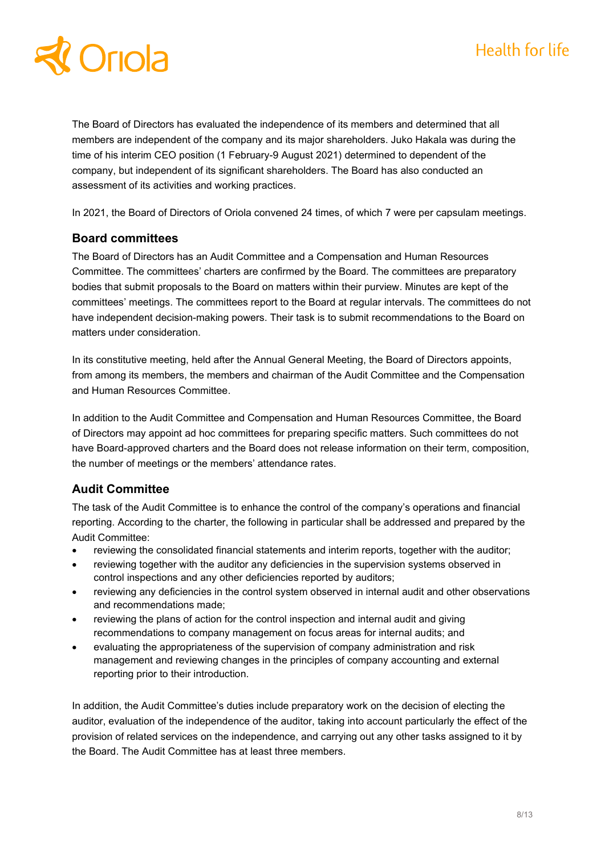# Oriola

The Board of Directors has evaluated the independence of its members and determined that all members are independent of the company and its major shareholders. Juko Hakala was during the time of his interim CEO position (1 February-9 August 2021) determined to dependent of the company, but independent of its significant shareholders. The Board has also conducted an assessment of its activities and working practices.

In 2021, the Board of Directors of Oriola convened 24 times, of which 7 were per capsulam meetings.

#### **Board committees**

The Board of Directors has an Audit Committee and a Compensation and Human Resources Committee. The committees' charters are confirmed by the Board. The committees are preparatory bodies that submit proposals to the Board on matters within their purview. Minutes are kept of the committees' meetings. The committees report to the Board at regular intervals. The committees do not have independent decision-making powers. Their task is to submit recommendations to the Board on matters under consideration.

In its constitutive meeting, held after the Annual General Meeting, the Board of Directors appoints, from among its members, the members and chairman of the Audit Committee and the Compensation and Human Resources Committee.

In addition to the Audit Committee and Compensation and Human Resources Committee, the Board of Directors may appoint ad hoc committees for preparing specific matters. Such committees do not have Board-approved charters and the Board does not release information on their term, composition, the number of meetings or the members' attendance rates.

### **Audit Committee**

The task of the Audit Committee is to enhance the control of the company's operations and financial reporting. According to the charter, the following in particular shall be addressed and prepared by the Audit Committee:

- reviewing the consolidated financial statements and interim reports, together with the auditor;
- reviewing together with the auditor any deficiencies in the supervision systems observed in control inspections and any other deficiencies reported by auditors;
- reviewing any deficiencies in the control system observed in internal audit and other observations and recommendations made;
- reviewing the plans of action for the control inspection and internal audit and giving recommendations to company management on focus areas for internal audits; and
- evaluating the appropriateness of the supervision of company administration and risk management and reviewing changes in the principles of company accounting and external reporting prior to their introduction.

In addition, the Audit Committee's duties include preparatory work on the decision of electing the auditor, evaluation of the independence of the auditor, taking into account particularly the effect of the provision of related services on the independence, and carrying out any other tasks assigned to it by the Board. The Audit Committee has at least three members.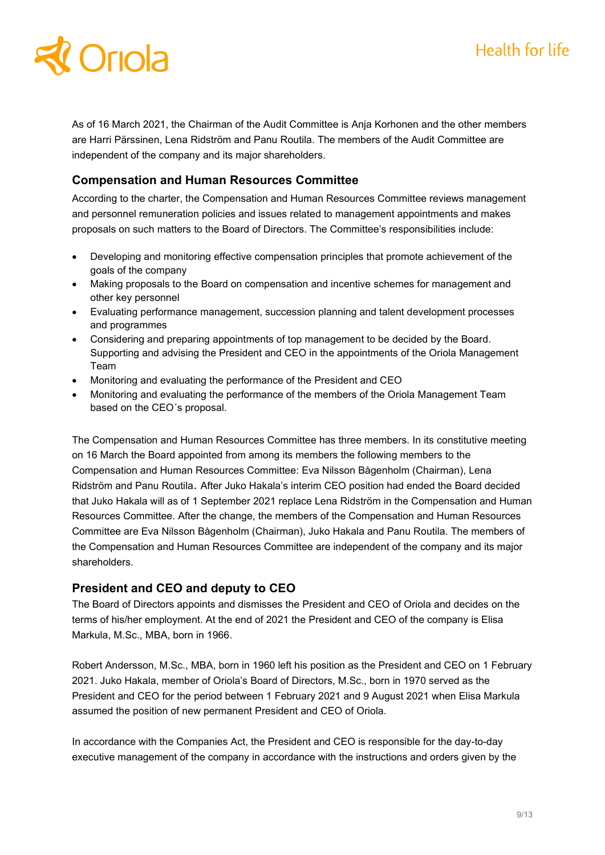

As of 16 March 2021, the Chairman of the Audit Committee is Anja Korhonen and the other members are Harri Pärssinen, Lena Ridström and Panu Routila. The members of the Audit Committee are independent of the company and its major shareholders.

#### **Compensation and Human Resources Committee**

According to the charter, the Compensation and Human Resources Committee reviews management and personnel remuneration policies and issues related to management appointments and makes proposals on such matters to the Board of Directors. The Committee's responsibilities include:

- Developing and monitoring effective compensation principles that promote achievement of the goals of the company
- Making proposals to the Board on compensation and incentive schemes for management and other key personnel
- Evaluating performance management, succession planning and talent development processes and programmes
- Considering and preparing appointments of top management to be decided by the Board. Supporting and advising the President and CEO in the appointments of the Oriola Management Team
- Monitoring and evaluating the performance of the President and CEO
- Monitoring and evaluating the performance of the members of the Oriola Management Team based on the CEO´s proposal.

The Compensation and Human Resources Committee has three members. In its constitutive meeting on 16 March the Board appointed from among its members the following members to the Compensation and Human Resources Committee: Eva Nilsson Bågenholm (Chairman), Lena Ridström and Panu Routila. After Juko Hakala's interim CEO position had ended the Board decided that Juko Hakala will as of 1 September 2021 replace Lena Ridström in the Compensation and Human Resources Committee. After the change, the members of the Compensation and Human Resources Committee are Eva Nilsson Bågenholm (Chairman), Juko Hakala and Panu Routila. The members of the Compensation and Human Resources Committee are independent of the company and its major shareholders.

#### **President and CEO and deputy to CEO**

The Board of Directors appoints and dismisses the President and CEO of Oriola and decides on the terms of his/her employment. At the end of 2021 the President and CEO of the company is Elisa Markula, M.Sc., MBA, born in 1966.

Robert Andersson, M.Sc., MBA, born in 1960 left his position as the President and CEO on 1 February 2021. Juko Hakala, member of Oriola's Board of Directors, M.Sc., born in 1970 served as the President and CEO for the period between 1 February 2021 and 9 August 2021 when Elisa Markula assumed the position of new permanent President and CEO of Oriola.

In accordance with the Companies Act, the President and CEO is responsible for the day-to-day executive management of the company in accordance with the instructions and orders given by the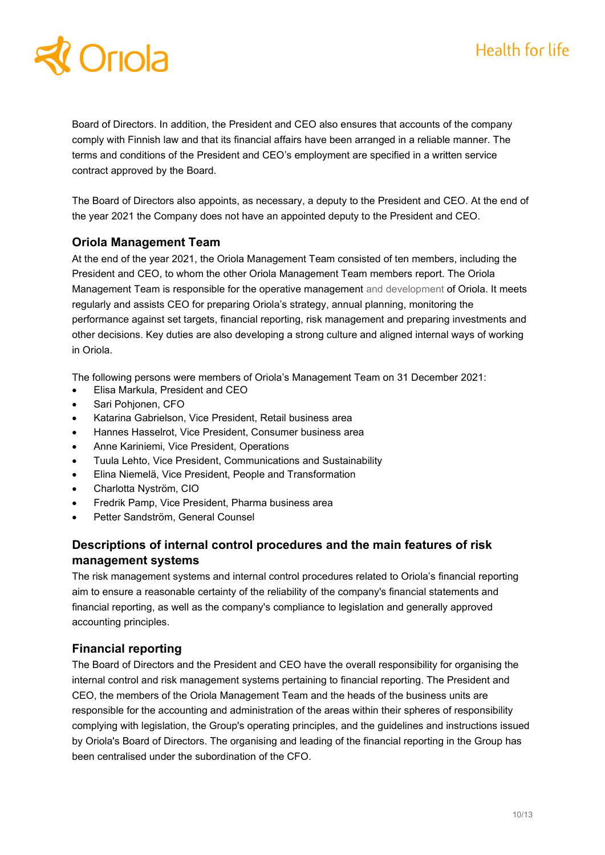# **Oriola**

Board of Directors. In addition, the President and CEO also ensures that accounts of the company comply with Finnish law and that its financial affairs have been arranged in a reliable manner. The terms and conditions of the President and CEO's employment are specified in a written service contract approved by the Board.

The Board of Directors also appoints, as necessary, a deputy to the President and CEO. At the end of the year 2021 the Company does not have an appointed deputy to the President and CEO.

#### **Oriola Management Team**

At the end of the year 2021, the Oriola Management Team consisted of ten members, including the President and CEO, to whom the other Oriola Management Team members report. The Oriola Management Team is responsible for the operative management and development of Oriola. It meets regularly and assists CEO for preparing Oriola's strategy, annual planning, monitoring the performance against set targets, financial reporting, risk management and preparing investments and other decisions. Key duties are also developing a strong culture and aligned internal ways of working in Oriola.

The following persons were members of Oriola's Management Team on 31 December 2021:

- Elisa Markula, President and CEO
- Sari Pohjonen, CFO
- Katarina Gabrielson, Vice President, Retail business area
- Hannes Hasselrot, Vice President, Consumer business area
- Anne Kariniemi, Vice President, Operations
- Tuula Lehto, Vice President, Communications and Sustainability
- Elina Niemelä, Vice President, People and Transformation
- Charlotta Nyström, CIO
- Fredrik Pamp, Vice President, Pharma business area
- Petter Sandström, General Counsel

### **Descriptions of internal control procedures and the main features of risk management systems**

The risk management systems and internal control procedures related to Oriola's financial reporting aim to ensure a reasonable certainty of the reliability of the company's financial statements and financial reporting, as well as the company's compliance to legislation and generally approved accounting principles.

### **Financial reporting**

The Board of Directors and the President and CEO have the overall responsibility for organising the internal control and risk management systems pertaining to financial reporting. The President and CEO, the members of the Oriola Management Team and the heads of the business units are responsible for the accounting and administration of the areas within their spheres of responsibility complying with legislation, the Group's operating principles, and the guidelines and instructions issued by Oriola's Board of Directors. The organising and leading of the financial reporting in the Group has been centralised under the subordination of the CFO.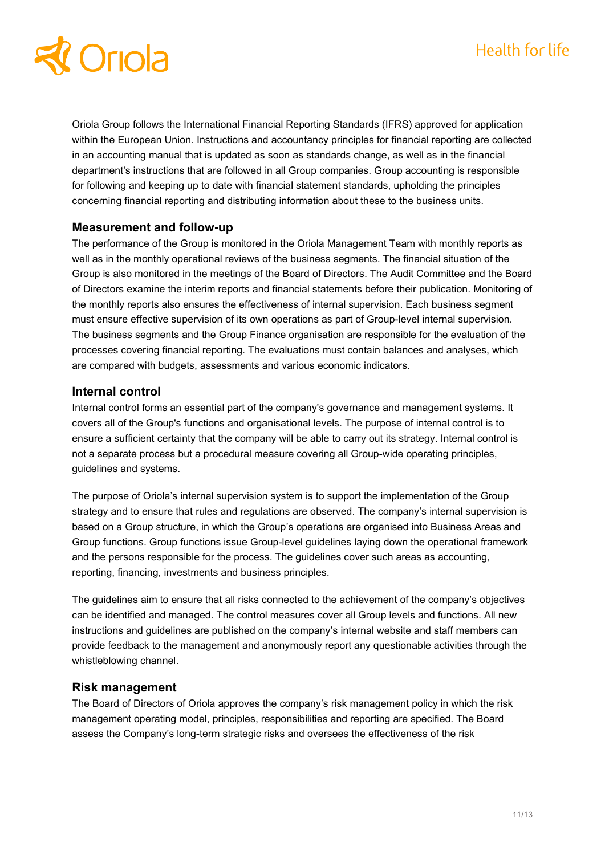# **Oriola**

### **Health for life**

Oriola Group follows the International Financial Reporting Standards (IFRS) approved for application within the European Union. Instructions and accountancy principles for financial reporting are collected in an accounting manual that is updated as soon as standards change, as well as in the financial department's instructions that are followed in all Group companies. Group accounting is responsible for following and keeping up to date with financial statement standards, upholding the principles concerning financial reporting and distributing information about these to the business units.

#### **Measurement and follow-up**

The performance of the Group is monitored in the Oriola Management Team with monthly reports as well as in the monthly operational reviews of the business segments. The financial situation of the Group is also monitored in the meetings of the Board of Directors. The Audit Committee and the Board of Directors examine the interim reports and financial statements before their publication. Monitoring of the monthly reports also ensures the effectiveness of internal supervision. Each business segment must ensure effective supervision of its own operations as part of Group-level internal supervision. The business segments and the Group Finance organisation are responsible for the evaluation of the processes covering financial reporting. The evaluations must contain balances and analyses, which are compared with budgets, assessments and various economic indicators.

#### **Internal control**

Internal control forms an essential part of the company's governance and management systems. It covers all of the Group's functions and organisational levels. The purpose of internal control is to ensure a sufficient certainty that the company will be able to carry out its strategy. Internal control is not a separate process but a procedural measure covering all Group-wide operating principles, guidelines and systems.

The purpose of Oriola's internal supervision system is to support the implementation of the Group strategy and to ensure that rules and regulations are observed. The company's internal supervision is based on a Group structure, in which the Group's operations are organised into Business Areas and Group functions. Group functions issue Group-level guidelines laying down the operational framework and the persons responsible for the process. The guidelines cover such areas as accounting, reporting, financing, investments and business principles.

The guidelines aim to ensure that all risks connected to the achievement of the company's objectives can be identified and managed. The control measures cover all Group levels and functions. All new instructions and guidelines are published on the company's internal website and staff members can provide feedback to the management and anonymously report any questionable activities through the whistleblowing channel.

#### **Risk management**

The Board of Directors of Oriola approves the company's risk management policy in which the risk management operating model, principles, responsibilities and reporting are specified. The Board assess the Company's long-term strategic risks and oversees the effectiveness of the risk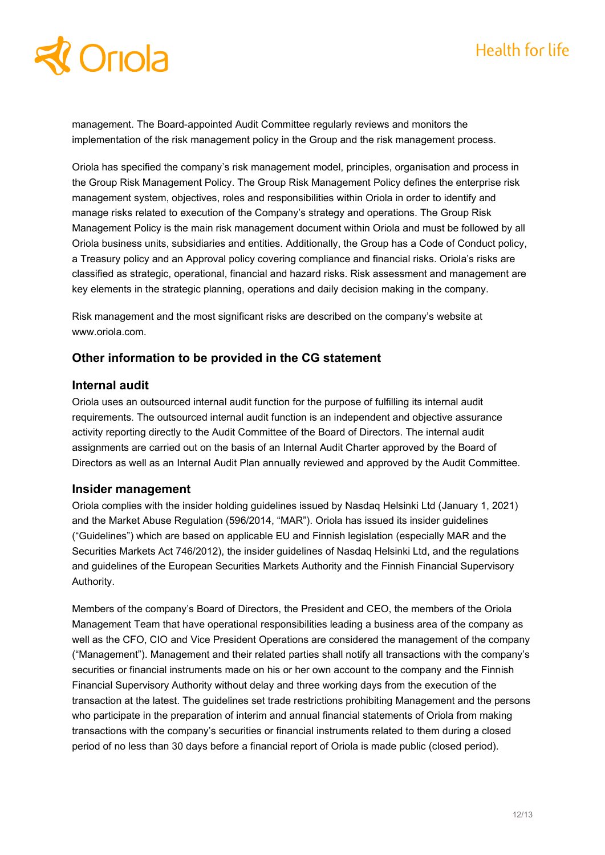## Oriola

management. The Board-appointed Audit Committee regularly reviews and monitors the implementation of the risk management policy in the Group and the risk management process.

Oriola has specified the company's risk management model, principles, organisation and process in the Group Risk Management Policy. The Group Risk Management Policy defines the enterprise risk management system, objectives, roles and responsibilities within Oriola in order to identify and manage risks related to execution of the Company's strategy and operations. The Group Risk Management Policy is the main risk management document within Oriola and must be followed by all Oriola business units, subsidiaries and entities. Additionally, the Group has a Code of Conduct policy, a Treasury policy and an Approval policy covering compliance and financial risks. Oriola's risks are classified as strategic, operational, financial and hazard risks. Risk assessment and management are key elements in the strategic planning, operations and daily decision making in the company.

Risk management and the most significant risks are described on the company's website at www.oriola.com.

#### **Other information to be provided in the CG statement**

#### **Internal audit**

Oriola uses an outsourced internal audit function for the purpose of fulfilling its internal audit requirements. The outsourced internal audit function is an independent and objective assurance activity reporting directly to the Audit Committee of the Board of Directors. The internal audit assignments are carried out on the basis of an Internal Audit Charter approved by the Board of Directors as well as an Internal Audit Plan annually reviewed and approved by the Audit Committee.

#### **Insider management**

Oriola complies with the insider holding guidelines issued by Nasdaq Helsinki Ltd (January 1, 2021) and the Market Abuse Regulation (596/2014, "MAR"). Oriola has issued its insider guidelines ("Guidelines") which are based on applicable EU and Finnish legislation (especially MAR and the Securities Markets Act 746/2012), the insider guidelines of Nasdaq Helsinki Ltd, and the regulations and guidelines of the European Securities Markets Authority and the Finnish Financial Supervisory Authority.

Members of the company's Board of Directors, the President and CEO, the members of the Oriola Management Team that have operational responsibilities leading a business area of the company as well as the CFO, CIO and Vice President Operations are considered the management of the company ("Management"). Management and their related parties shall notify all transactions with the company's securities or financial instruments made on his or her own account to the company and the Finnish Financial Supervisory Authority without delay and three working days from the execution of the transaction at the latest. The guidelines set trade restrictions prohibiting Management and the persons who participate in the preparation of interim and annual financial statements of Oriola from making transactions with the company's securities or financial instruments related to them during a closed period of no less than 30 days before a financial report of Oriola is made public (closed period).